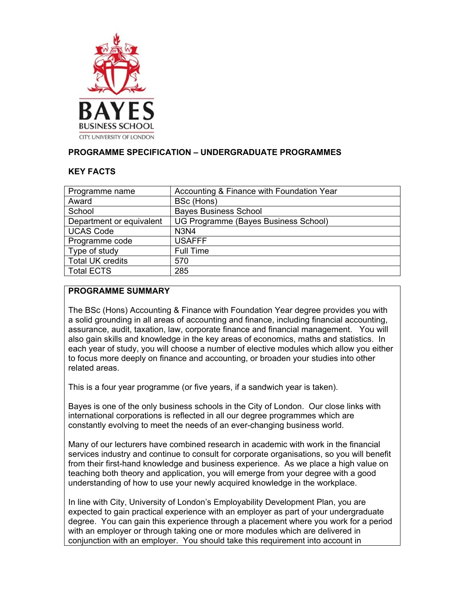

# **PROGRAMME SPECIFICATION – UNDERGRADUATE PROGRAMMES**

#### **KEY FACTS**

| Programme name           | Accounting & Finance with Foundation Year |
|--------------------------|-------------------------------------------|
| Award                    | BSc (Hons)                                |
| School                   | <b>Bayes Business School</b>              |
| Department or equivalent | UG Programme (Bayes Business School)      |
| <b>UCAS Code</b>         | <b>N3N4</b>                               |
| Programme code           | <b>USAFFF</b>                             |
| Type of study            | <b>Full Time</b>                          |
| <b>Total UK credits</b>  | 570                                       |
| <b>Total ECTS</b>        | 285                                       |

#### **PROGRAMME SUMMARY**

The BSc (Hons) Accounting & Finance with Foundation Year degree provides you with a solid grounding in all areas of accounting and finance, including financial accounting, assurance, audit, taxation, law, corporate finance and financial management. You will also gain skills and knowledge in the key areas of economics, maths and statistics. In each year of study, you will choose a number of elective modules which allow you either to focus more deeply on finance and accounting, or broaden your studies into other related areas.

This is a four year programme (or five years, if a sandwich year is taken).

Bayes is one of the only business schools in the City of London. Our close links with international corporations is reflected in all our degree programmes which are constantly evolving to meet the needs of an ever-changing business world.

Many of our lecturers have combined research in academic with work in the financial services industry and continue to consult for corporate organisations, so you will benefit from their first-hand knowledge and business experience. As we place a high value on teaching both theory and application, you will emerge from your degree with a good understanding of how to use your newly acquired knowledge in the workplace.

In line with City, University of London's Employability Development Plan, you are expected to gain practical experience with an employer as part of your undergraduate degree. You can gain this experience through a placement where you work for a period with an employer or through taking one or more modules which are delivered in conjunction with an employer. You should take this requirement into account in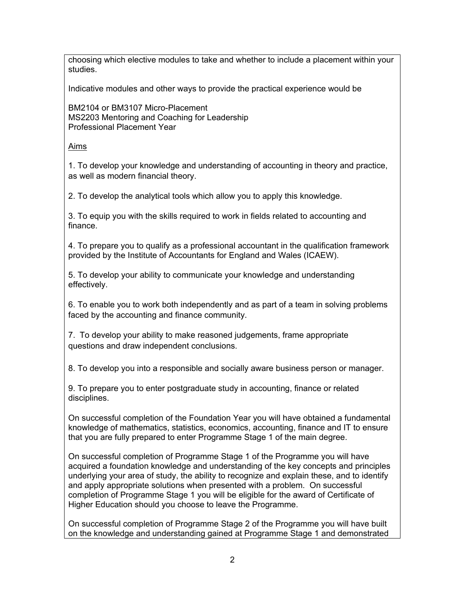choosing which elective modules to take and whether to include a placement within your studies.

Indicative modules and other ways to provide the practical experience would be

BM2104 or BM3107 Micro-Placement MS2203 Mentoring and Coaching for Leadership Professional Placement Year

#### Aims

1. To develop your knowledge and understanding of accounting in theory and practice, as well as modern financial theory.

2. To develop the analytical tools which allow you to apply this knowledge.

3. To equip you with the skills required to work in fields related to accounting and finance.

4. To prepare you to qualify as a professional accountant in the qualification framework provided by the Institute of Accountants for England and Wales (ICAEW).

5. To develop your ability to communicate your knowledge and understanding effectively.

6. To enable you to work both independently and as part of a team in solving problems faced by the accounting and finance community.

7. To develop your ability to make reasoned judgements, frame appropriate questions and draw independent conclusions.

8. To develop you into a responsible and socially aware business person or manager.

9. To prepare you to enter postgraduate study in accounting, finance or related disciplines.

On successful completion of the Foundation Year you will have obtained a fundamental knowledge of mathematics, statistics, economics, accounting, finance and IT to ensure that you are fully prepared to enter Programme Stage 1 of the main degree.

On successful completion of Programme Stage 1 of the Programme you will have acquired a foundation knowledge and understanding of the key concepts and principles underlying your area of study, the ability to recognize and explain these, and to identify and apply appropriate solutions when presented with a problem. On successful completion of Programme Stage 1 you will be eligible for the award of Certificate of Higher Education should you choose to leave the Programme.

On successful completion of Programme Stage 2 of the Programme you will have built on the knowledge and understanding gained at Programme Stage 1 and demonstrated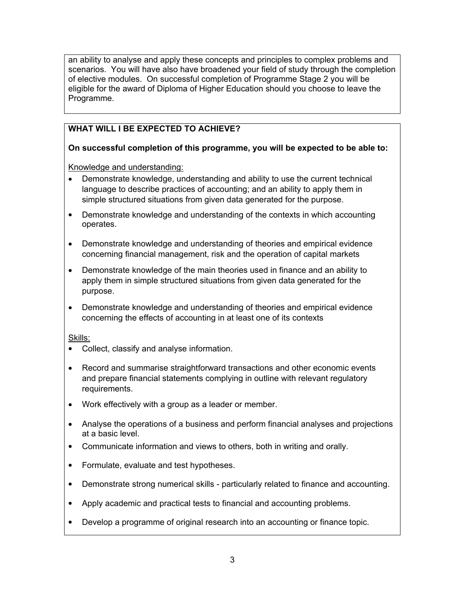an ability to analyse and apply these concepts and principles to complex problems and scenarios. You will have also have broadened your field of study through the completion of elective modules. On successful completion of Programme Stage 2 you will be eligible for the award of Diploma of Higher Education should you choose to leave the Programme.

# **WHAT WILL I BE EXPECTED TO ACHIEVE?**

# **On successful completion of this programme, you will be expected to be able to:**

Knowledge and understanding:

- Demonstrate knowledge, understanding and ability to use the current technical language to describe practices of accounting; and an ability to apply them in simple structured situations from given data generated for the purpose.
- Demonstrate knowledge and understanding of the contexts in which accounting operates.
- Demonstrate knowledge and understanding of theories and empirical evidence concerning financial management, risk and the operation of capital markets
- Demonstrate knowledge of the main theories used in finance and an ability to apply them in simple structured situations from given data generated for the purpose.
- Demonstrate knowledge and understanding of theories and empirical evidence concerning the effects of accounting in at least one of its contexts

# Skills:

- Collect, classify and analyse information.
- Record and summarise straightforward transactions and other economic events and prepare financial statements complying in outline with relevant regulatory requirements.
- Work effectively with a group as a leader or member.
- Analyse the operations of a business and perform financial analyses and projections at a basic level.
- Communicate information and views to others, both in writing and orally.
- Formulate, evaluate and test hypotheses.
- Demonstrate strong numerical skills particularly related to finance and accounting.
- Apply academic and practical tests to financial and accounting problems.
- Develop a programme of original research into an accounting or finance topic.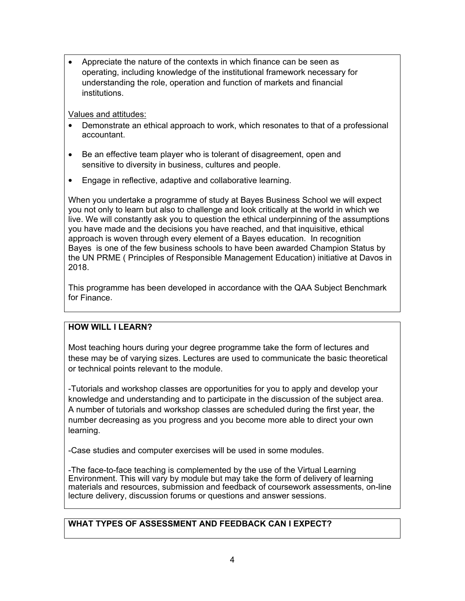• Appreciate the nature of the contexts in which finance can be seen as operating, including knowledge of the institutional framework necessary for understanding the role, operation and function of markets and financial institutions.

Values and attitudes:

- Demonstrate an ethical approach to work, which resonates to that of a professional accountant.
- Be an effective team player who is tolerant of disagreement, open and sensitive to diversity in business, cultures and people.
- Engage in reflective, adaptive and collaborative learning.

When you undertake a programme of study at Bayes Business School we will expect you not only to learn but also to challenge and look critically at the world in which we live. We will constantly ask you to question the ethical underpinning of the assumptions you have made and the decisions you have reached, and that inquisitive, ethical approach is woven through every element of a Bayes education. In recognition Bayes is one of the few business schools to have been awarded Champion Status by the UN PRME ( Principles of Responsible Management Education) initiative at Davos in 2018.

This programme has been developed in accordance with the QAA Subject Benchmark for Finance.

## **HOW WILL I LEARN?**

Most teaching hours during your degree programme take the form of lectures and these may be of varying sizes. Lectures are used to communicate the basic theoretical or technical points relevant to the module.

-Tutorials and workshop classes are opportunities for you to apply and develop your knowledge and understanding and to participate in the discussion of the subject area. A number of tutorials and workshop classes are scheduled during the first year, the number decreasing as you progress and you become more able to direct your own learning.

-Case studies and computer exercises will be used in some modules.

-The face-to-face teaching is complemented by the use of the Virtual Learning Environment. This will vary by module but may take the form of delivery of learning materials and resources, submission and feedback of coursework assessments, on-line lecture delivery, discussion forums or questions and answer sessions.

## **WHAT TYPES OF ASSESSMENT AND FEEDBACK CAN I EXPECT?**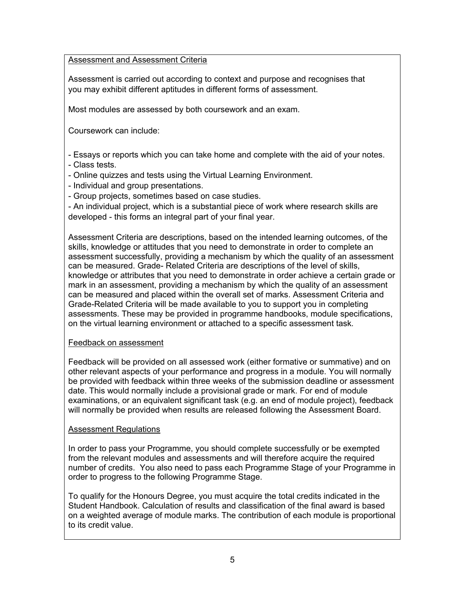#### Assessment and Assessment Criteria

Assessment is carried out according to context and purpose and recognises that you may exhibit different aptitudes in different forms of assessment.

Most modules are assessed by both coursework and an exam.

Coursework can include:

- Essays or reports which you can take home and complete with the aid of your notes. - Class tests.

- Online quizzes and tests using the Virtual Learning Environment.
- Individual and group presentations.
- Group projects, sometimes based on case studies.

- An individual project, which is a substantial piece of work where research skills are developed - this forms an integral part of your final year.

Assessment Criteria are descriptions, based on the intended learning outcomes, of the skills, knowledge or attitudes that you need to demonstrate in order to complete an assessment successfully, providing a mechanism by which the quality of an assessment can be measured. Grade- Related Criteria are descriptions of the level of skills, knowledge or attributes that you need to demonstrate in order achieve a certain grade or mark in an assessment, providing a mechanism by which the quality of an assessment can be measured and placed within the overall set of marks. Assessment Criteria and Grade-Related Criteria will be made available to you to support you in completing assessments. These may be provided in programme handbooks, module specifications, on the virtual learning environment or attached to a specific assessment task*.*

#### Feedback on assessment

Feedback will be provided on all assessed work (either formative or summative) and on other relevant aspects of your performance and progress in a module. You will normally be provided with feedback within three weeks of the submission deadline or assessment date. This would normally include a provisional grade or mark. For end of module examinations, or an equivalent significant task (e.g. an end of module project), feedback will normally be provided when results are released following the Assessment Board.

#### Assessment Regulations

In order to pass your Programme, you should complete successfully or be exempted from the relevant modules and assessments and will therefore acquire the required number of credits. You also need to pass each Programme Stage of your Programme in order to progress to the following Programme Stage.

To qualify for the Honours Degree, you must acquire the total credits indicated in the Student Handbook. Calculation of results and classification of the final award is based on a weighted average of module marks. The contribution of each module is proportional to its credit value.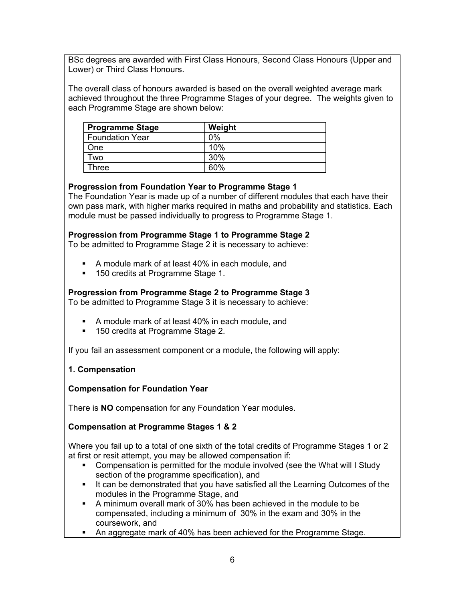BSc degrees are awarded with First Class Honours, Second Class Honours (Upper and Lower) or Third Class Honours.

The overall class of honours awarded is based on the overall weighted average mark achieved throughout the three Programme Stages of your degree. The weights given to each Programme Stage are shown below:

| <b>Programme Stage</b> | Weight |
|------------------------|--------|
| <b>Foundation Year</b> | $0\%$  |
| One                    | 10%    |
| Two                    | 30%    |
| Three                  | 60%    |

## **Progression from Foundation Year to Programme Stage 1**

The Foundation Year is made up of a number of different modules that each have their own pass mark, with higher marks required in maths and probability and statistics. Each module must be passed individually to progress to Programme Stage 1.

## **Progression from Programme Stage 1 to Programme Stage 2**

To be admitted to Programme Stage 2 it is necessary to achieve:

- A module mark of at least 40% in each module, and
- **150 credits at Programme Stage 1.**

## **Progression from Programme Stage 2 to Programme Stage 3**

To be admitted to Programme Stage 3 it is necessary to achieve:

- A module mark of at least 40% in each module, and
- 150 credits at Programme Stage 2.

If you fail an assessment component or a module, the following will apply:

## **1. Compensation**

## **Compensation for Foundation Year**

There is **NO** compensation for any Foundation Year modules.

## **Compensation at Programme Stages 1 & 2**

Where you fail up to a total of one sixth of the total credits of Programme Stages 1 or 2 at first or resit attempt, you may be allowed compensation if:

- Compensation is permitted for the module involved (see the What will I Study section of the programme specification), and
- It can be demonstrated that you have satisfied all the Learning Outcomes of the modules in the Programme Stage, and
- A minimum overall mark of 30% has been achieved in the module to be compensated, including a minimum of 30% in the exam and 30% in the coursework, and
- An aggregate mark of 40% has been achieved for the Programme Stage.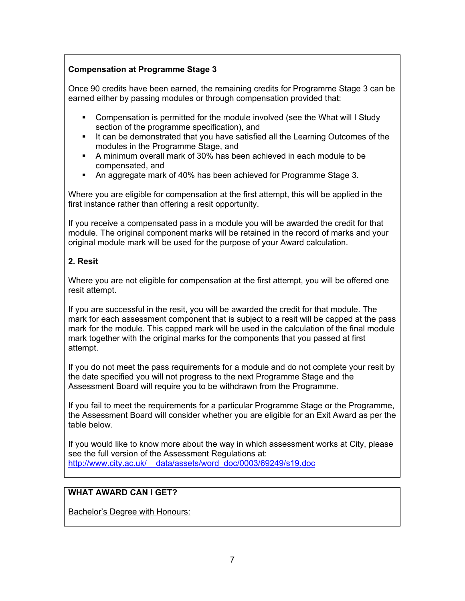# **Compensation at Programme Stage 3**

Once 90 credits have been earned, the remaining credits for Programme Stage 3 can be earned either by passing modules or through compensation provided that:

- Compensation is permitted for the module involved (see the What will I Study section of the programme specification), and
- It can be demonstrated that you have satisfied all the Learning Outcomes of the modules in the Programme Stage, and
- A minimum overall mark of 30% has been achieved in each module to be compensated, and
- An aggregate mark of 40% has been achieved for Programme Stage 3.

Where you are eligible for compensation at the first attempt, this will be applied in the first instance rather than offering a resit opportunity.

If you receive a compensated pass in a module you will be awarded the credit for that module. The original component marks will be retained in the record of marks and your original module mark will be used for the purpose of your Award calculation.

## **2. Resit**

Where you are not eligible for compensation at the first attempt, you will be offered one resit attempt.

If you are successful in the resit, you will be awarded the credit for that module. The mark for each assessment component that is subject to a resit will be capped at the pass mark for the module. This capped mark will be used in the calculation of the final module mark together with the original marks for the components that you passed at first attempt.

If you do not meet the pass requirements for a module and do not complete your resit by the date specified you will not progress to the next Programme Stage and the Assessment Board will require you to be withdrawn from the Programme.

If you fail to meet the requirements for a particular Programme Stage or the Programme, the Assessment Board will consider whether you are eligible for an Exit Award as per the table below.

If you would like to know more about the way in which assessment works at City, please see the full version of the Assessment Regulations at: [http://www.city.ac.uk/\\_\\_data/assets/word\\_doc/0003/69249/s19.doc](http://www.city.ac.uk/__data/assets/word_doc/0003/69249/s19.doc)

## **WHAT AWARD CAN I GET?**

Bachelor's Degree with Honours: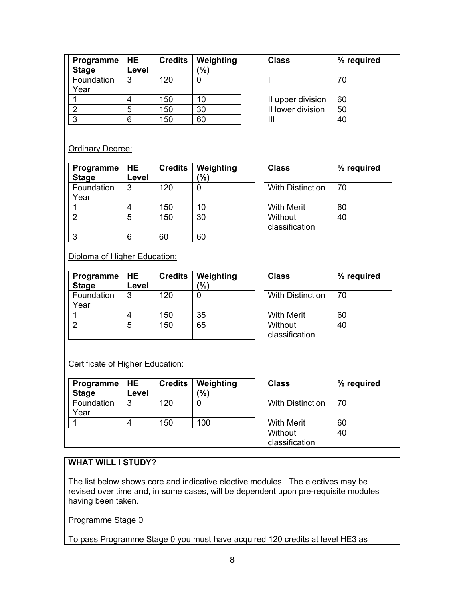| Programme $ HE$<br><b>Stage</b> | Level | <b>Credits</b> | Weighting<br>(%) | <b>Class</b>      | $\%$ |
|---------------------------------|-------|----------------|------------------|-------------------|------|
| Foundation                      | 3     | 120            |                  |                   | 70   |
| Year                            |       |                |                  |                   |      |
|                                 |       | 150            | 10               | II upper division | 60   |
| ⌒                               | 5     | 150            | 30               | II lower division | 50   |
| 3                               |       | 150            | 60               |                   | 40   |

| Class             | % required |
|-------------------|------------|
|                   | 70         |
| II upper division | 60         |
| II lower division | 50         |
| Ш                 | 40         |
|                   |            |

#### **Ordinary Degree:**

| Programme    | <b>HE</b> | <b>Credits</b> | Weighting |
|--------------|-----------|----------------|-----------|
| <b>Stage</b> | Level     |                | %)        |
| Foundation   | 3         | 120            |           |
| Year         |           |                |           |
|              |           | 150            | 10        |
| っ            | 5         | 150            | 30        |
|              |           |                |           |
| ว            |           |                |           |

**Class % required** With Distinction 70 With Merit 60 Without classification 40

Diploma of Higher Education:

| Programme $ HE$<br><b>Stage</b> | Level | <b>Credits</b> | Weighting<br>(%) | <b>Class</b>              | %  |
|---------------------------------|-------|----------------|------------------|---------------------------|----|
| Foundation<br>Year              | 3     | 120            |                  | <b>With Distinction</b>   | 70 |
|                                 |       | 150            | 35               | <b>With Merit</b>         | 60 |
| 2                               | 5     | 150            | 65               | Without<br>classification | 40 |

**Class % required** Distinction 70 ification 40

Certificate of Higher Education:

| Programme<br><b>Stage</b> | I HE<br>Level | <b>Credits</b> | Weighting<br>$\frac{9}{6}$ | <b>Class</b>              | % required |
|---------------------------|---------------|----------------|----------------------------|---------------------------|------------|
| Foundation<br>Year        | 3             | 120            | 0                          | <b>With Distinction</b>   | 70         |
|                           |               | 150            | 100                        | <b>With Merit</b>         | 60         |
|                           |               |                |                            | Without<br>classification | 40         |

## **WHAT WILL I STUDY?**

The list below shows core and indicative elective modules. The electives may be revised over time and, in some cases, will be dependent upon pre-requisite modules having been taken.

Programme Stage 0

To pass Programme Stage 0 you must have acquired 120 credits at level HE3 as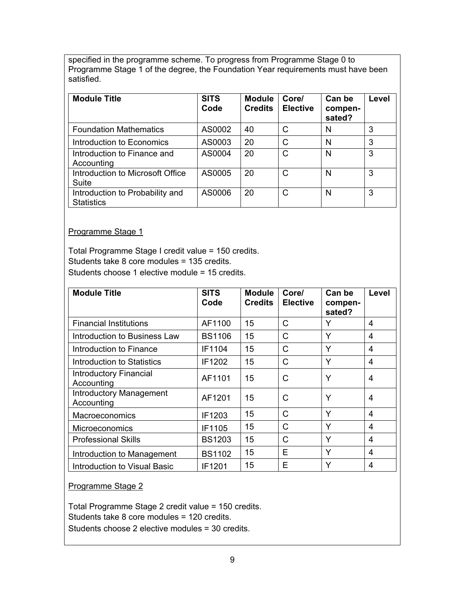specified in the programme scheme. To progress from Programme Stage 0 to Programme Stage 1 of the degree, the Foundation Year requirements must have been satisfied.

| <b>Module Title</b>                                  | <b>SITS</b><br>Code | <b>Module</b><br><b>Credits</b> | Core/<br><b>Elective</b> | Can be<br>compen-<br>sated? | Level |
|------------------------------------------------------|---------------------|---------------------------------|--------------------------|-----------------------------|-------|
| <b>Foundation Mathematics</b>                        | AS0002              | 40                              | C                        | N                           | 3     |
| Introduction to Economics                            | AS0003              | 20                              | C                        | N                           | 3     |
| Introduction to Finance and<br>Accounting            | AS0004              | 20                              | C                        | N                           | 3     |
| Introduction to Microsoft Office<br>Suite            | AS0005              | 20                              | C                        | N                           | 3     |
| Introduction to Probability and<br><b>Statistics</b> | AS0006              | 20                              | C                        | N                           | 3     |

#### Programme Stage 1

Total Programme Stage I credit value = 150 credits. Students take 8 core modules = 135 credits. Students choose 1 elective module = 15 credits.

| <b>Module Title</b>                          | <b>SITS</b><br>Code | <b>Module</b><br><b>Credits</b> | Core/<br><b>Elective</b> | Can be<br>compen-<br>sated? | Level |
|----------------------------------------------|---------------------|---------------------------------|--------------------------|-----------------------------|-------|
| <b>Financial Institutions</b>                | AF1100              | 15                              | С                        | Y                           | 4     |
| Introduction to Business Law                 | <b>BS1106</b>       | 15                              | Ć                        | Y                           | 4     |
| Introduction to Finance                      | IF1104              | 15                              | С                        | Y                           | 4     |
| Introduction to Statistics                   | IF1202              | 15                              | С                        | Y                           | 4     |
| Introductory Financial<br>Accounting         | AF1101              | 15                              | C                        | Y                           | 4     |
| <b>Introductory Management</b><br>Accounting | AF1201              | 15                              | С                        | Y                           | 4     |
| <b>Macroeconomics</b>                        | IF1203              | 15                              | С                        | Y                           | 4     |
| <b>Microeconomics</b>                        | IF1105              | 15                              | С                        | Y                           | 4     |
| <b>Professional Skills</b>                   | <b>BS1203</b>       | 15                              | C                        | Y                           | 4     |
| Introduction to Management                   | <b>BS1102</b>       | 15                              | F                        | Y                           | 4     |
| Introduction to Visual Basic                 | IF1201              | 15                              | F                        | Y                           | 4     |

Programme Stage 2

Total Programme Stage 2 credit value = 150 credits. Students take 8 core modules = 120 credits. Students choose 2 elective modules = 30 credits.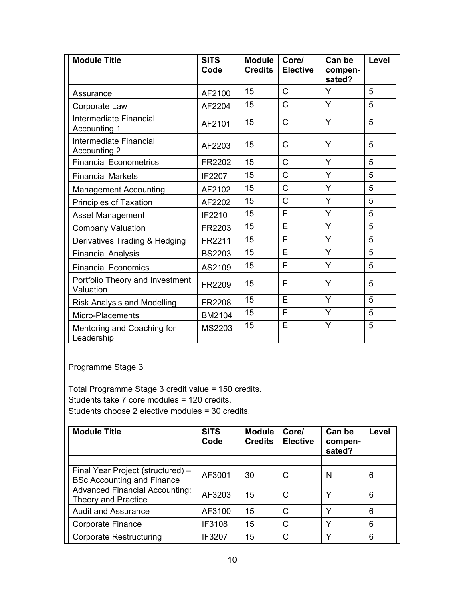| <b>Module Title</b>                          | <b>SITS</b><br>Code | <b>Module</b><br><b>Credits</b> | Core/<br><b>Elective</b> | Can be<br>compen-<br>sated? | Level |
|----------------------------------------------|---------------------|---------------------------------|--------------------------|-----------------------------|-------|
| Assurance                                    | AF2100              | 15                              | $\mathsf{C}$             | Y                           | 5     |
| Corporate Law                                | AF2204              | 15                              | Ć                        | Y                           | 5     |
| Intermediate Financial<br>Accounting 1       | AF2101              | 15                              | C                        | Y                           | 5     |
| Intermediate Financial<br>Accounting 2       | AF2203              | 15                              | C                        | Y                           | 5     |
| <b>Financial Econometrics</b>                | FR2202              | 15                              | Ć                        | Y                           | 5     |
| <b>Financial Markets</b>                     | IF2207              | 15                              | Ć                        | Y                           | 5     |
| <b>Management Accounting</b>                 | AF2102              | 15                              | Ć                        | Y                           | 5     |
| <b>Principles of Taxation</b>                | AF2202              | 15                              | C                        | Y                           | 5     |
| <b>Asset Management</b>                      | IF2210              | 15                              | E                        | Y                           | 5     |
| <b>Company Valuation</b>                     | FR2203              | 15                              | E                        | Y                           | 5     |
| Derivatives Trading & Hedging                | FR2211              | 15                              | E                        | Y                           | 5     |
| <b>Financial Analysis</b>                    | <b>BS2203</b>       | 15                              | E                        | Y                           | 5     |
| <b>Financial Economics</b>                   | AS2109              | 15                              | Е                        | Y                           | 5     |
| Portfolio Theory and Investment<br>Valuation | FR2209              | 15                              | Е                        | Y                           | 5     |
| <b>Risk Analysis and Modelling</b>           | FR2208              | 15                              | E                        | Y                           | 5     |
| Micro-Placements                             | BM2104              | 15                              | E                        | Y                           | 5     |
| Mentoring and Coaching for<br>Leadership     | MS2203              | 15                              | E                        | Y                           | 5     |

Programme Stage 3

Total Programme Stage 3 credit value = 150 credits. Students take 7 core modules = 120 credits. Students choose 2 elective modules = 30 credits.

| <b>Module Title</b>                                                    | <b>SITS</b><br>Code | <b>Module</b><br><b>Credits</b> | Core/<br><b>Elective</b> | Can be<br>compen-<br>sated? | Level |
|------------------------------------------------------------------------|---------------------|---------------------------------|--------------------------|-----------------------------|-------|
|                                                                        |                     |                                 |                          |                             |       |
| Final Year Project (structured) -<br><b>BSc Accounting and Finance</b> | AF3001              | 30                              | С                        | N                           | 6     |
| <b>Advanced Financial Accounting:</b><br><b>Theory and Practice</b>    | AF3203              | 15                              | C                        | v                           | 6     |
| <b>Audit and Assurance</b>                                             | AF3100              | 15                              | C                        | $\checkmark$                | 6     |
| Corporate Finance                                                      | <b>IF3108</b>       | 15                              | C                        | $\checkmark$                | 6     |
| <b>Corporate Restructuring</b>                                         | IF3207              | 15                              | C                        | v                           | 6     |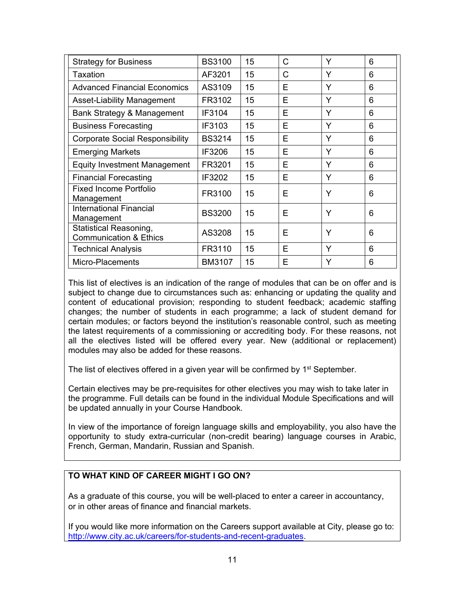| <b>Strategy for Business</b>                                       | <b>BS3100</b> | 15 | C | Y | 6 |
|--------------------------------------------------------------------|---------------|----|---|---|---|
| Taxation                                                           | AF3201        | 15 | C | Y | 6 |
| <b>Advanced Financial Economics</b>                                | AS3109        | 15 | F | Y | 6 |
| Asset-Liability Management                                         | FR3102        | 15 | Е | Y | 6 |
| Bank Strategy & Management                                         | <b>IF3104</b> | 15 | F | Y | 6 |
| <b>Business Forecasting</b>                                        | IF3103        | 15 | E | Y | 6 |
| <b>Corporate Social Responsibility</b>                             | <b>BS3214</b> | 15 | Е | Y | 6 |
| <b>Emerging Markets</b>                                            | IF3206        | 15 | Е | Y | 6 |
| <b>Equity Investment Management</b>                                | FR3201        | 15 | E | Y | 6 |
| <b>Financial Forecasting</b>                                       | IF3202        | 15 | F | Y | 6 |
| <b>Fixed Income Portfolio</b><br>Management                        | FR3100        | 15 | E | Y | 6 |
| <b>International Financial</b><br>Management                       | <b>BS3200</b> | 15 | F | Y | 6 |
| <b>Statistical Reasoning,</b><br><b>Communication &amp; Ethics</b> | AS3208        | 15 | Е | Y | 6 |
| <b>Technical Analysis</b>                                          | FR3110        | 15 | Е | Y | 6 |
| Micro-Placements                                                   | <b>BM3107</b> | 15 | E | Y | 6 |

This list of electives is an indication of the range of modules that can be on offer and is subject to change due to circumstances such as: enhancing or updating the quality and content of educational provision; responding to student feedback; academic staffing changes; the number of students in each programme; a lack of student demand for certain modules; or factors beyond the institution's reasonable control, such as meeting the latest requirements of a commissioning or accrediting body. For these reasons, not all the electives listed will be offered every year. New (additional or replacement) modules may also be added for these reasons.

The list of electives offered in a given year will be confirmed by  $1<sup>st</sup>$  September.

Certain electives may be pre-requisites for other electives you may wish to take later in the programme. Full details can be found in the individual Module Specifications and will be updated annually in your Course Handbook.

In view of the importance of foreign language skills and employability, you also have the opportunity to study extra-curricular (non-credit bearing) language courses in Arabic, French, German, Mandarin, Russian and Spanish.

## **TO WHAT KIND OF CAREER MIGHT I GO ON?**

As a graduate of this course, you will be well-placed to enter a career in accountancy, or in other areas of finance and financial markets.

If you would like more information on the Careers support available at City, please go to: [http://www.city.ac.uk/careers/for-students-and-recent-graduates.](http://www.city.ac.uk/careers/for-students-and-recent-graduates)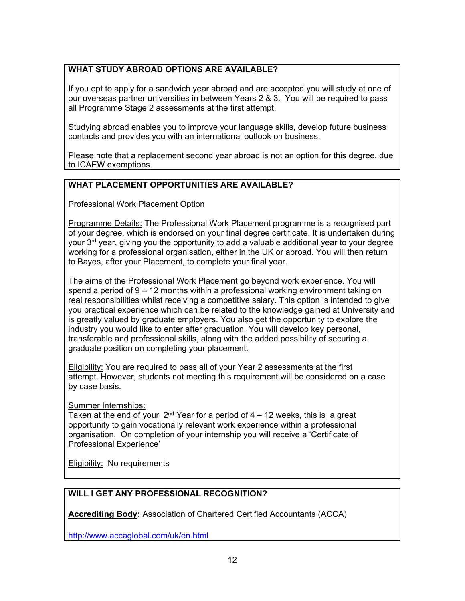# **WHAT STUDY ABROAD OPTIONS ARE AVAILABLE?**

If you opt to apply for a sandwich year abroad and are accepted you will study at one of our overseas partner universities in between Years 2 & 3. You will be required to pass all Programme Stage 2 assessments at the first attempt.

Studying abroad enables you to improve your language skills, develop future business contacts and provides you with an international outlook on business.

Please note that a replacement second year abroad is not an option for this degree, due to ICAEW exemptions.

# **WHAT PLACEMENT OPPORTUNITIES ARE AVAILABLE?**

Professional Work Placement Option

Programme Details: The Professional Work Placement programme is a recognised part of your degree, which is endorsed on your final degree certificate. It is undertaken during your 3rd year, giving you the opportunity to add a valuable additional year to your degree working for a professional organisation, either in the UK or abroad. You will then return to Bayes, after your Placement, to complete your final year.

The aims of the Professional Work Placement go beyond work experience. You will spend a period of 9 – 12 months within a professional working environment taking on real responsibilities whilst receiving a competitive salary. This option is intended to give you practical experience which can be related to the knowledge gained at University and is greatly valued by graduate employers. You also get the opportunity to explore the industry you would like to enter after graduation. You will develop key personal, transferable and professional skills, along with the added possibility of securing a graduate position on completing your placement.

Eligibility: You are required to pass all of your Year 2 assessments at the first attempt. However, students not meeting this requirement will be considered on a case by case basis.

Summer Internships:

Taken at the end of your  $2<sup>nd</sup>$  Year for a period of 4 – 12 weeks, this is a great opportunity to gain vocationally relevant work experience within a professional organisation. On completion of your internship you will receive a 'Certificate of Professional Experience'

**Eligibility:** No requirements

## **WILL I GET ANY PROFESSIONAL RECOGNITION?**

**Accrediting Body:** Association of Chartered Certified Accountants (ACCA)

<http://www.accaglobal.com/uk/en.html>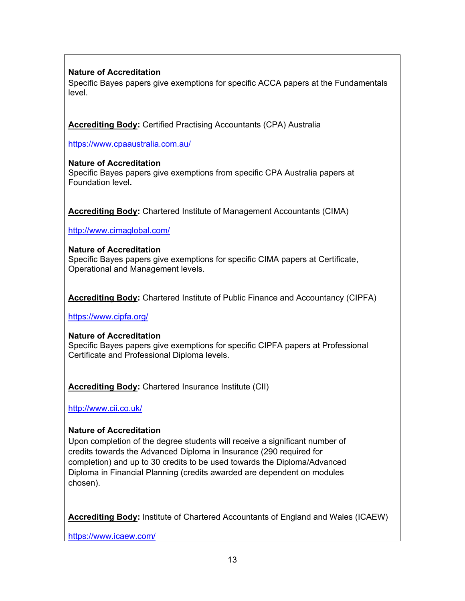# **Nature of Accreditation**

Specific Bayes papers give exemptions for specific ACCA papers at the Fundamentals level.

**Accrediting Body:** Certified Practising Accountants (CPA) Australia

<https://www.cpaaustralia.com.au/>

#### **Nature of Accreditation**

Specific Bayes papers give exemptions from specific CPA Australia papers at Foundation level**.**

**Accrediting Body:** Chartered Institute of Management Accountants (CIMA)

<http://www.cimaglobal.com/>

#### **Nature of Accreditation**

Specific Bayes papers give exemptions for specific CIMA papers at Certificate, Operational and Management levels.

**Accrediting Body:** Chartered Institute of Public Finance and Accountancy (CIPFA)

<https://www.cipfa.org/>

#### **Nature of Accreditation**

Specific Bayes papers give exemptions for specific CIPFA papers at Professional Certificate and Professional Diploma levels.

**Accrediting Body:** Chartered Insurance Institute (CII)

<http://www.cii.co.uk/>

## **Nature of Accreditation**

Upon completion of the degree students will receive a significant number of credits towards the Advanced Diploma in Insurance (290 required for completion) and up to 30 credits to be used towards the Diploma/Advanced Diploma in Financial Planning (credits awarded are dependent on modules chosen).

**Accrediting Body:** Institute of Chartered Accountants of England and Wales (ICAEW)

<https://www.icaew.com/>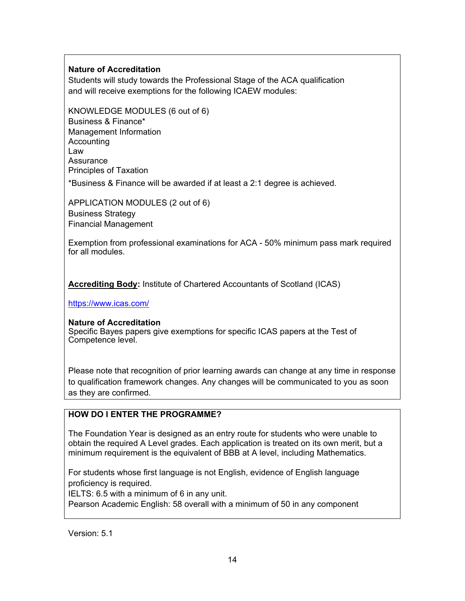## **Nature of Accreditation**

Students will study towards the Professional Stage of the ACA qualification and will receive exemptions for the following ICAEW modules:

KNOWLEDGE MODULES (6 out of 6) Business & Finance\* Management Information **Accounting** Law Assurance Principles of Taxation

\*Business & Finance will be awarded if at least a 2:1 degree is achieved.

APPLICATION MODULES (2 out of 6) Business Strategy Financial Management

Exemption from professional examinations for ACA - 50% minimum pass mark required for all modules.

**Accrediting Body:** Institute of Chartered Accountants of Scotland (ICAS)

<https://www.icas.com/>

#### **Nature of Accreditation**

Specific Bayes papers give exemptions for specific ICAS papers at the Test of Competence level.

Please note that recognition of prior learning awards can change at any time in response to qualification framework changes. Any changes will be communicated to you as soon as they are confirmed.

## **HOW DO I ENTER THE PROGRAMME?**

The Foundation Year is designed as an entry route for students who were unable to obtain the required A Level grades. Each application is treated on its own merit, but a minimum requirement is the equivalent of BBB at A level, including Mathematics.

For students whose first language is not English, evidence of English language proficiency is required.

IELTS: 6.5 with a minimum of 6 in any unit.

Pearson Academic English: 58 overall with a minimum of 50 in any component

Version: 5.1